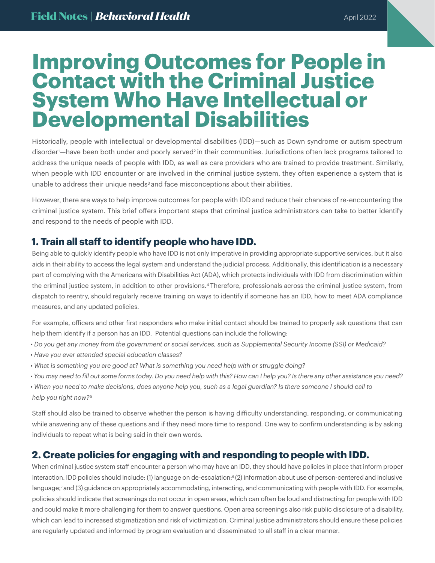# **Improving Outcomes for People in Contact with the Criminal Justice System Who Have Intellectual or Developmental Disabilities**

Historically, people with intellectual or developmental disabilities (IDD)—such as Down syndrome or autism spectrum disorder<sup>1</sup>—have been both under and poorly served<sup>2</sup> in their communities. Jurisdictions often lack programs tailored to address the unique needs of people with IDD, as well as care providers who are trained to provide treatment. Similarly, when people with IDD encounter or are involved in the criminal justice system, they often experience a system that is unable to address their unique needs<sup>3</sup> and face misconceptions about their abilities.

However, there are ways to help improve outcomes for people with IDD and reduce their chances of re-encountering the criminal justice system. This brief offers important steps that criminal justice administrators can take to better identify and respond to the needs of people with IDD.

### **1. Train all staff to identify people who have IDD.**

Being able to quickly identify people who have IDD is not only imperative in providing appropriate supportive services, but it also aids in their ability to access the legal system and understand the judicial process. Additionally, this identification is a necessary part of complying with the Americans with Disabilities Act (ADA), which protects individuals with IDD from discrimination within the criminal justice system, in addition to other provisions.4 Therefore, professionals across the criminal justice system, from dispatch to reentry, should regularly receive training on ways to identify if someone has an IDD, how to meet ADA compliance measures, and any updated policies.

For example, officers and other first responders who make initial contact should be trained to properly ask questions that can help them identify if a person has an IDD. Potential questions can include the following:

- *Do you get any money from the government or social services, such as Supplemental Security Income (SSI) or Medicaid?*
- *Have you ever attended special education classes?*
- *What is something you are good at? What is something you need help with or struggle doing?*
- *You may need to fill out some forms today. Do you need help with this? How can I help you? Is there any other assistance you need?*
- *When you need to make decisions, does anyone help you, such as a legal guardian? Is there someone I should call to help you right now?*<sup>5</sup>

Staff should also be trained to observe whether the person is having difficulty understanding, responding, or communicating while answering any of these questions and if they need more time to respond. One way to confirm understanding is by asking individuals to repeat what is being said in their own words.

### **2. Create policies for engaging with and responding to people with IDD.**

When criminal justice system staff encounter a person who may have an IDD, they should have policies in place that inform proper interaction. IDD policies should include: (1) language on de-escalation;<sup>6</sup>(2) information about use of person-centered and inclusive language;<sup>7</sup> and (3) guidance on appropriately accommodating, interacting, and communicating with people with IDD. For example, policies should indicate that screenings do not occur in open areas, which can often be loud and distracting for people with IDD and could make it more challenging for them to answer questions. Open area screenings also risk public disclosure of a disability, which can lead to increased stigmatization and risk of victimization. Criminal justice administrators should ensure these policies are regularly updated and informed by program evaluation and disseminated to all staff in a clear manner.